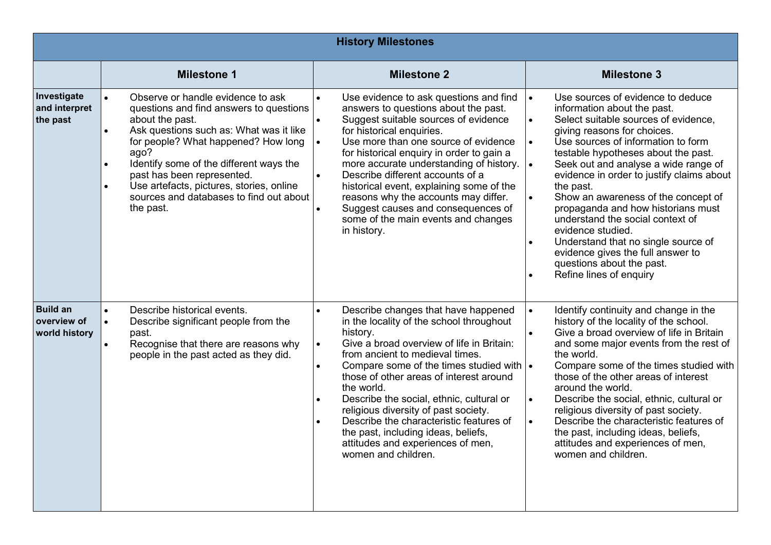| <b>History Milestones</b>                       |                                                                                                                                                                                                                                                                                                                                                                                                                            |                                                                                                                                                                                                                                                                                                                                                                                                                                                                                                                                                                          |                                                                                                                                                                                                                                                                                                                                                                                                                                                                                                                                                                                                                                                      |  |
|-------------------------------------------------|----------------------------------------------------------------------------------------------------------------------------------------------------------------------------------------------------------------------------------------------------------------------------------------------------------------------------------------------------------------------------------------------------------------------------|--------------------------------------------------------------------------------------------------------------------------------------------------------------------------------------------------------------------------------------------------------------------------------------------------------------------------------------------------------------------------------------------------------------------------------------------------------------------------------------------------------------------------------------------------------------------------|------------------------------------------------------------------------------------------------------------------------------------------------------------------------------------------------------------------------------------------------------------------------------------------------------------------------------------------------------------------------------------------------------------------------------------------------------------------------------------------------------------------------------------------------------------------------------------------------------------------------------------------------------|--|
|                                                 | <b>Milestone 1</b>                                                                                                                                                                                                                                                                                                                                                                                                         | <b>Milestone 2</b>                                                                                                                                                                                                                                                                                                                                                                                                                                                                                                                                                       | <b>Milestone 3</b>                                                                                                                                                                                                                                                                                                                                                                                                                                                                                                                                                                                                                                   |  |
| Investigate<br>and interpret<br>the past        | Observe or handle evidence to ask<br>$\bullet$<br>questions and find answers to questions<br>about the past.<br>Ask questions such as: What was it like<br>$\bullet$<br>for people? What happened? How long<br>ago?<br>Identify some of the different ways the<br>$\bullet$<br>past has been represented.<br>Use artefacts, pictures, stories, online<br>$\bullet$<br>sources and databases to find out about<br>the past. | Use evidence to ask questions and find<br>$\bullet$<br>answers to questions about the past.<br>Suggest suitable sources of evidence<br>$\bullet$<br>for historical enquiries.<br>Use more than one source of evidence<br>$\bullet$<br>for historical enquiry in order to gain a<br>more accurate understanding of history.<br>Describe different accounts of a<br>$\bullet$<br>historical event, explaining some of the<br>reasons why the accounts may differ.<br>Suggest causes and consequences of<br>$\bullet$<br>some of the main events and changes<br>in history. | Use sources of evidence to deduce<br>$\bullet$<br>information about the past.<br>Select suitable sources of evidence,<br>$\bullet$<br>giving reasons for choices.<br>Use sources of information to form<br>$\bullet$<br>testable hypotheses about the past.<br>Seek out and analyse a wide range of<br>evidence in order to justify claims about<br>the past.<br>Show an awareness of the concept of<br>propaganda and how historians must<br>understand the social context of<br>evidence studied.<br>Understand that no single source of<br>$\bullet$<br>evidence gives the full answer to<br>questions about the past.<br>Refine lines of enquiry |  |
| <b>Build an</b><br>overview of<br>world history | Describe historical events.<br>Describe significant people from the<br>$\bullet$<br>past.<br>Recognise that there are reasons why<br>$\bullet$<br>people in the past acted as they did.                                                                                                                                                                                                                                    | Describe changes that have happened<br>in the locality of the school throughout<br>history.<br>Give a broad overview of life in Britain:<br>$\bullet$<br>from ancient to medieval times.<br>Compare some of the times studied with $\cdot$<br>$\bullet$<br>those of other areas of interest around<br>the world.<br>Describe the social, ethnic, cultural or<br>$\bullet$<br>religious diversity of past society.<br>Describe the characteristic features of<br>the past, including ideas, beliefs,<br>attitudes and experiences of men,<br>women and children.          | Identify continuity and change in the<br>$\bullet$<br>history of the locality of the school.<br>Give a broad overview of life in Britain<br>and some major events from the rest of<br>the world.<br>Compare some of the times studied with<br>those of the other areas of interest<br>around the world.<br>Describe the social, ethnic, cultural or<br>$\bullet$<br>religious diversity of past society.<br>Describe the characteristic features of<br>the past, including ideas, beliefs,<br>attitudes and experiences of men,<br>women and children.                                                                                               |  |